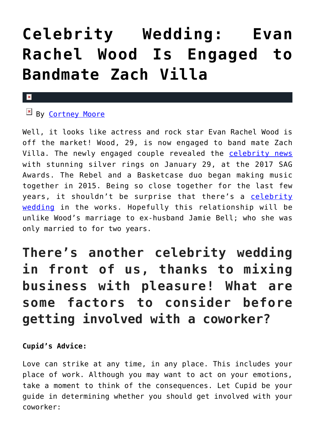# **[Celebrity Wedding: Evan](https://cupidspulse.com/116517/celebrity-wedding-evan-rachel-wood-zach-villa/) [Rachel Wood Is Engaged to](https://cupidspulse.com/116517/celebrity-wedding-evan-rachel-wood-zach-villa/) [Bandmate Zach Villa](https://cupidspulse.com/116517/celebrity-wedding-evan-rachel-wood-zach-villa/)**

### $\mathbf{x}$

### **EX By [Cortney Moore](http://cupidspulse.com/107134/cortney-moore/)**

Well, it looks like actress and rock star Evan Rachel Wood is off the market! Wood, 29, is now engaged to band mate Zach Villa. The newly engaged couple revealed the [celebrity news](http://cupidspulse.com) with stunning silver rings on January 29, at the 2017 SAG Awards. The Rebel and a Basketcase duo began making music together in 2015. Being so close together for the last few years, it shouldn't be surprise that there's a [celebrity](http://cupidspulse.com/celebrity-news/celebrity-weddings/) [wedding](http://cupidspulse.com/celebrity-news/celebrity-weddings/) in the works. Hopefully this relationship will be unlike Wood's marriage to ex-husband Jamie Bell; who she was only married to for two years.

### **There's another celebrity wedding in front of us, thanks to mixing business with pleasure! What are some factors to consider before getting involved with a coworker?**

### **Cupid's Advice:**

Love can strike at any time, in any place. This includes your place of work. Although you may want to act on your emotions, take a moment to think of the consequences. Let Cupid be your guide in determining whether you should get involved with your coworker: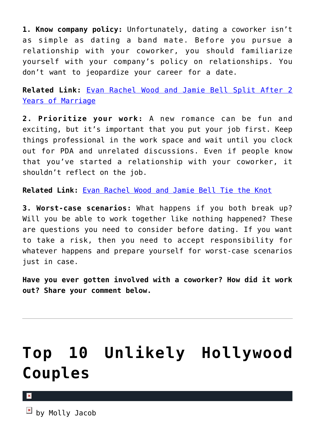**1. Know company policy:** Unfortunately, dating a coworker isn't as simple as dating a band mate. Before you pursue a relationship with your coworker, you should familiarize yourself with your company's policy on relationships. You don't want to jeopardize your career for a date.

**Related Link:** [Evan Rachel Wood and Jamie Bell Split After 2](http://cupidspulse.com/75244/evan-rachel-wood-and-jamie-bell-split-after-2-years-of-marriage/) [Years of Marriage](http://cupidspulse.com/75244/evan-rachel-wood-and-jamie-bell-split-after-2-years-of-marriage/)

**2. Prioritize your work:** A new romance can be fun and exciting, but it's important that you put your job first. Keep things professional in the work space and wait until you clock out for PDA and unrelated discussions. Even if people know that you've started a relationship with your coworker, it shouldn't reflect on the job.

**Related Link:** [Evan Rachel Wood and Jamie Bell Tie the Knot](http://cupidspulse.com/40802/evan-rachel-wood-jamie-bell-tie-knot-married/)

**3. Worst-case scenarios:** What happens if you both break up? Will you be able to work together like nothing happened? These are questions you need to consider before dating. If you want to take a risk, then you need to accept responsibility for whatever happens and prepare yourself for worst-case scenarios just in case.

**Have you ever gotten involved with a coworker? How did it work out? Share your comment below.**

# **[Top 10 Unlikely Hollywood](https://cupidspulse.com/93825/top-10-unlikely-hollywood-couples/) [Couples](https://cupidspulse.com/93825/top-10-unlikely-hollywood-couples/)**

 $\overline{a}$  by Molly Jacob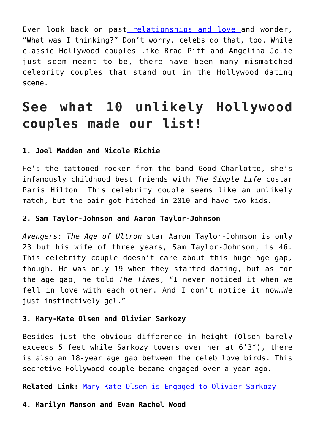Ever look back on past [relationships and love a](http://cupidspulse.com/celebrity-relationships/long-term-relationships-flings/)nd wonder, "What was I thinking?" Don't worry, celebs do that, too. While classic Hollywood couples like Brad Pitt and Angelina Jolie just seem meant to be, there have been many mismatched celebrity couples that stand out in the Hollywood dating scene.

### **See what 10 unlikely Hollywood couples made our list!**

#### **1. Joel Madden and Nicole Richie**

He's the tattooed rocker from the band Good Charlotte, she's infamously childhood best friends with *The Simple Life* costar Paris Hilton. This celebrity couple seems like an unlikely match, but the pair got hitched in 2010 and have two kids.

#### **2. Sam Taylor-Johnson and Aaron Taylor-Johnson**

*Avengers: The Age of Ultron* star Aaron Taylor-Johnson is only 23 but his wife of three years, Sam Taylor-Johnson, is 46. This celebrity couple doesn't care about this huge age gap, though. He was only 19 when they started dating, but as for the age gap, he told *The Times*, "I never noticed it when we fell in love with each other. And I don't notice it now…We just instinctively gel."

### **3. Mary-Kate Olsen and Olivier Sarkozy**

Besides just the obvious difference in height (Olsen barely exceeds 5 feet while Sarkozy towers over her at 6'3″), there is also an 18-year age gap between the celeb love birds. This secretive Hollywood couple became engaged over a year ago.

**Related Link:** [Mary-Kate Olsen is Engaged to Olivier Sarkozy](http://cupidspulse.com/71455/mary-kate-olsen-engaged-olivier-sarkozy/) 

#### **4. Marilyn Manson and Evan Rachel Wood**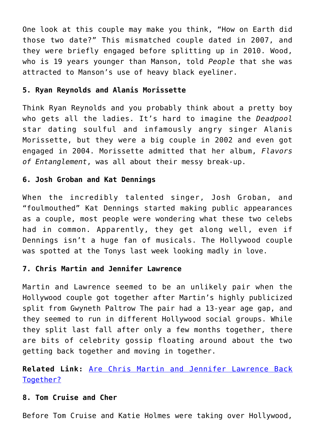One look at this couple may make you think, "How on Earth did those two date?" This mismatched couple dated in 2007, and they were briefly engaged before splitting up in 2010. Wood, who is 19 years younger than Manson, told *People* that she was attracted to Manson's use of heavy black eyeliner.

### **5. Ryan Reynolds and Alanis Morissette**

Think Ryan Reynolds and you probably think about a pretty boy who gets all the ladies. It's hard to imagine the *Deadpool* star dating soulful and infamously angry singer Alanis Morissette, but they were a big couple in 2002 and even got engaged in 2004. Morissette admitted that her album, *Flavors of Entanglement*, was all about their messy break-up.

### **6. Josh Groban and Kat Dennings**

When the incredibly talented singer, Josh Groban, and "foulmouthed" Kat Dennings started making public appearances as a couple, most people were wondering what these two celebs had in common. Apparently, they get along well, even if Dennings isn't a huge fan of musicals. The Hollywood couple was spotted at the Tonys last week looking madly in love.

### **7. Chris Martin and Jennifer Lawrence**

Martin and Lawrence seemed to be an unlikely pair when the Hollywood couple got together after Martin's highly publicized split from Gwyneth Paltrow The pair had a 13-year age gap, and they seemed to run in different Hollywood social groups. While they split last fall after only a few months together, there are bits of celebrity gossip floating around about the two getting back together and moving in together.

### **Related Link:** [Are Chris Martin and Jennifer Lawrence Back](http://cupidspulse.com/82598/are-chris-martin-and-jennifer-lawrence-back-together/) [Together?](http://cupidspulse.com/82598/are-chris-martin-and-jennifer-lawrence-back-together/)

#### **8. Tom Cruise and Cher**

Before Tom Cruise and Katie Holmes were taking over Hollywood,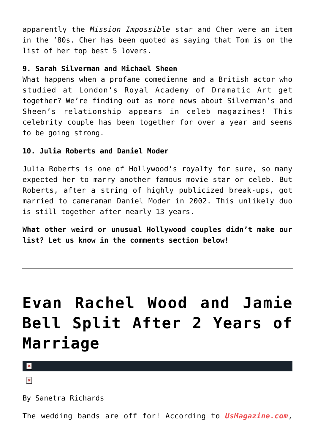apparently the *Mission Impossible* star and Cher were an item in the '80s. Cher has been quoted as saying that Tom is on the list of her top best 5 lovers.

### **9. Sarah Silverman and Michael Sheen**

What happens when a profane comedienne and a British actor who studied at London's Royal Academy of Dramatic Art get together? We're finding out as more news about Silverman's and Sheen's relationship appears in celeb magazines! This celebrity couple has been together for over a year and seems to be going strong.

### **10. Julia Roberts and Daniel Moder**

Julia Roberts is one of Hollywood's royalty for sure, so many expected her to marry another famous movie star or celeb. But Roberts, after a string of highly publicized break-ups, got married to cameraman Daniel Moder in 2002. This unlikely duo is still together after nearly 13 years.

**What other weird or unusual Hollywood couples didn't make our list? Let us know in the comments section below!**

# **[Evan Rachel Wood and Jamie](https://cupidspulse.com/75244/evan-rachel-wood-and-jamie-bell-split-after-2-years-of-marriage/) [Bell Split After 2 Years of](https://cupidspulse.com/75244/evan-rachel-wood-and-jamie-bell-split-after-2-years-of-marriage/) [Marriage](https://cupidspulse.com/75244/evan-rachel-wood-and-jamie-bell-split-after-2-years-of-marriage/)**

 $\mathbf{x}$ 

 $\pmb{\times}$ 

By Sanetra Richards

The wedding bands are off for! According to *[UsMagazine.com](http://www.usmagazine.com/celebrity-news/news/evan-rachel-wood-jamie-bell-split-after-nearly-two-years-of-marriage-2014285)*,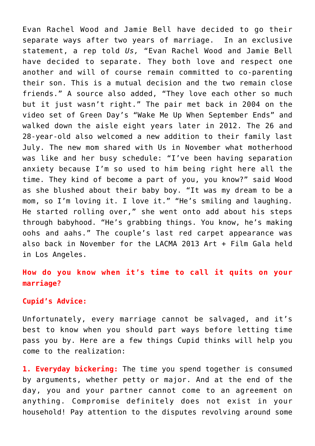Evan Rachel Wood and Jamie Bell have decided to go their separate ways after two years of marriage. In an exclusive statement, a rep told *Us,* "Evan Rachel Wood and Jamie Bell have decided to separate. They both love and respect one another and will of course remain committed to co-parenting their son. This is a mutual decision and the two remain close friends." A source also added, "They love each other so much but it just wasn't right." The pair met back in 2004 on the video set of Green Day's "Wake Me Up When September Ends" and walked down the aisle eight years later in 2012. The 26 and 28-year-old also welcomed a new addition to their family last July. The new mom shared with Us in November what motherhood was like and her busy schedule: "I've been having separation anxiety because I'm so used to him being right here all the time. They kind of become a part of you, you know?" said Wood as she blushed about their baby boy. "It was my dream to be a mom, so I'm loving it. I love it." "He's smiling and laughing. He started rolling over," she went onto add about his steps through babyhood. "He's grabbing things. You know, he's making oohs and aahs." The couple's last red carpet appearance was also back in November for the LACMA 2013 Art + Film Gala held in Los Angeles.

### **How do you know when it's time to call it quits on your marriage?**

### **Cupid's Advice:**

Unfortunately, every marriage cannot be salvaged, and it's best to know when you should part ways before letting time pass you by. Here are a few things Cupid thinks will help you come to the realization:

**1. Everyday bickering:** The time you spend together is consumed by arguments, whether petty or major. And at the end of the day, you and your partner cannot come to an agreement on anything. Compromise definitely does not exist in your household! Pay attention to the disputes revolving around some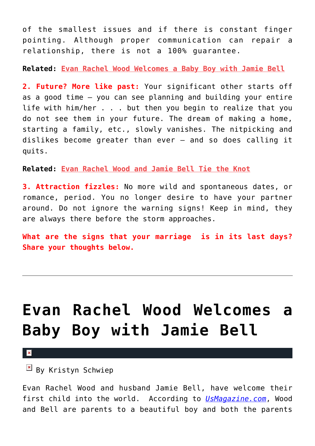of the smallest issues and if there is constant finger pointing. Although proper communication can repair a relationship, there is not a 100% guarantee.

**Related: [Evan Rachel Wood Welcomes a Baby Boy with Jamie Bell](http://www.cupidspulse.com/evan-rachel-wood-jamie-wood-baby-boy/)**

**2. Future? More like past:** Your significant other starts off as a good time – you can see planning and building your entire life with him/her . . . but then you begin to realize that you do not see them in your future. The dream of making a home, starting a family, etc., slowly vanishes. The nitpicking and dislikes become greater than ever – and so does calling it quits.

**Related: [Evan Rachel Wood and Jamie Bell Tie the Knot](http://www.cupidspulse.com/evan-rachel-wood-jamie-bell-tie-knot-married/)**

**3. Attraction fizzles:** No more wild and spontaneous dates, or romance, period. You no longer desire to have your partner around. Do not ignore the warning signs! Keep in mind, they are always there before the storm approaches.

**What are the signs that your marriage is in its last days? Share your thoughts below.**

# **[Evan Rachel Wood Welcomes a](https://cupidspulse.com/55525/evan-rachel-wood-jamie-wood-baby-boy/) [Baby Boy with Jamie Bell](https://cupidspulse.com/55525/evan-rachel-wood-jamie-wood-baby-boy/)**

 $\mathbf x$ 

 $\mathbb{F}$  By Kristyn Schwiep

Evan Rachel Wood and husband Jamie Bell, have welcome their first child into the world. According to *[UsMagazine.com](http://www.usmagazine.com/celebrity-moms/news/evan-rachel-wood-welcomes-baby-boy-with-jamie-bell-2013297)*, Wood and Bell are parents to a beautiful boy and both the parents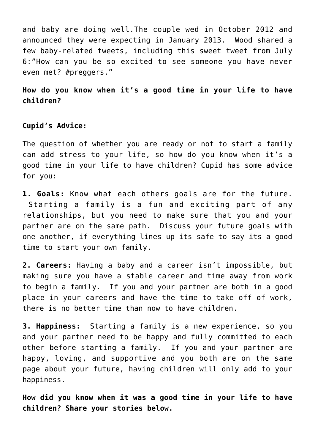and baby are doing well.The couple wed in October 2012 and announced they were expecting in January 2013. Wood shared a few baby-related tweets, including this sweet tweet from July 6:"How can you be so excited to see someone you have never even met? #preggers."

### **How do you know when it's a good time in your life to have children?**

**Cupid's Advice:**

The question of whether you are ready or not to start a family can add stress to your life, so how do you know when it's a good time in your life to have children? Cupid has some advice for you:

**1. Goals:** Know what each others goals are for the future. Starting a family is a fun and exciting part of any relationships, but you need to make sure that you and your partner are on the same path. Discuss your future goals with one another, if everything lines up its safe to say its a good time to start your own family.

**2. Careers:** Having a baby and a career isn't impossible, but making sure you have a stable career and time away from work to begin a family. If you and your partner are both in a good place in your careers and have the time to take off of work, there is no better time than now to have children.

**3. Happiness:** Starting a family is a new experience, so you and your partner need to be happy and fully committed to each other before starting a family. If you and your partner are happy, loving, and supportive and you both are on the same page about your future, having children will only add to your happiness.

**How did you know when it was a good time in your life to have children? Share your stories below.**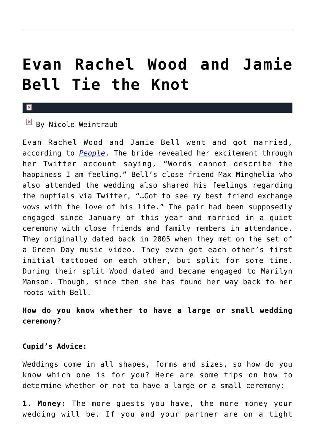# **[Evan Rachel Wood and Jamie](https://cupidspulse.com/40802/evan-rachel-wood-jamie-bell-tie-knot-married/) [Bell Tie the Knot](https://cupidspulse.com/40802/evan-rachel-wood-jamie-bell-tie-knot-married/)**

#### $\mathbf{x}$

### $\overline{B}$  By Nicole Weintraub

Evan Rachel Wood and Jamie Bell went and got married, according to *[People](http://www.people.com/people/article/0,,20643957,00.html)*. The bride revealed her excitement through her Twitter account saying, "Words cannot describe the happiness I am feeling." Bell's close friend Max Minghelia who also attended the wedding also shared his feelings regarding the nuptials via Twitter, "…Got to see my best friend exchange vows with the love of his life." The pair had been supposedly engaged since January of this year and married in a quiet ceremony with close friends and family members in attendance. They originally dated back in 2005 when they met on the set of a Green Day music video. They even got each other's first initial tattooed on each other, but split for some time. During their split Wood dated and became engaged to Marilyn Manson. Though, since then she has found her way back to her roots with Bell.

**How do you know whether to have a large or small wedding ceremony?**

#### **Cupid's Advice:**

Weddings come in all shapes, forms and sizes, so how do you know which one is for you? Here are some tips on how to determine whether or not to have a large or a small ceremony:

**1. Money:** The more guests you have, the more money your wedding will be. If you and your partner are on a tight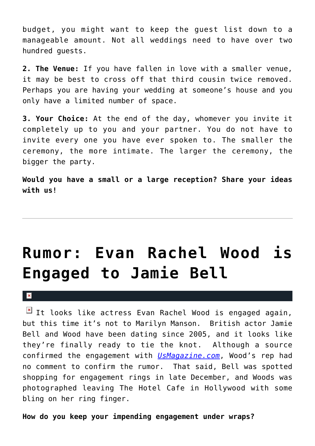budget, you might want to keep the guest list down to a manageable amount. Not all weddings need to have over two hundred guests.

**2. The Venue:** If you have fallen in love with a smaller venue, it may be best to cross off that third cousin twice removed. Perhaps you are having your wedding at someone's house and you only have a limited number of space.

**3. Your Choice:** At the end of the day, whomever you invite it completely up to you and your partner. You do not have to invite every one you have ever spoken to. The smaller the ceremony, the more intimate. The larger the ceremony, the bigger the party.

**Would you have a small or a large reception? Share your ideas with us!**

# **[Rumor: Evan Rachel Wood is](https://cupidspulse.com/25112/rumor-true-blood-actress-evan-rachel-wood-is-engaged-to-british-actor-jamie-bell/) [Engaged to Jamie Bell](https://cupidspulse.com/25112/rumor-true-blood-actress-evan-rachel-wood-is-engaged-to-british-actor-jamie-bell/)**

#### $\mathbf x$

 $\boxed{\times}$  It looks like actress Evan Rachel Wood is engaged again, but this time it's not to Marilyn Manson. British actor Jamie Bell and Wood have been dating since 2005, and it looks like they're finally ready to tie the knot. Although a source confirmed the engagement with *[UsMagazine.com](http://www.usmagazine.com/celebrity-news/news/evan-rachel-wood-engaged-to-jamie-bell-see-her-ring-201291)*, Wood's rep had no comment to confirm the rumor. That said, Bell was spotted shopping for engagement rings in late December, and Woods was photographed leaving The Hotel Cafe in Hollywood with some bling on her ring finger.

**How do you keep your impending engagement under wraps?**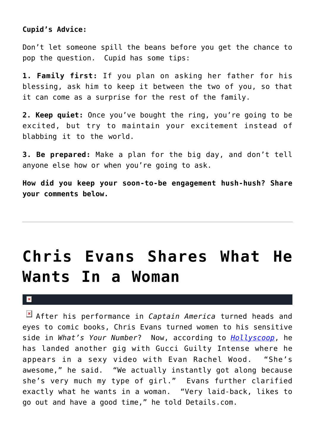### **Cupid's Advice:**

Don't let someone spill the beans before you get the chance to pop the question. Cupid has some tips:

**1. Family first:** If you plan on asking her father for his blessing, ask him to keep it between the two of you, so that it can come as a surprise for the rest of the family.

**2. Keep quiet:** Once you've bought the ring, you're going to be excited, but try to maintain your excitement instead of blabbing it to the world.

**3. Be prepared:** Make a plan for the big day, and don't tell anyone else how or when you're going to ask.

**How did you keep your soon-to-be engagement hush-hush? Share your comments below.**

# **[Chris Evans Shares What He](https://cupidspulse.com/24393/whats-your-number-captain-america-star-chris-evans-shares-what-he-wants-in-a-woman/) [Wants In a Woman](https://cupidspulse.com/24393/whats-your-number-captain-america-star-chris-evans-shares-what-he-wants-in-a-woman/)**

#### $\pmb{\times}$

After his performance in *Captain America* turned heads and eyes to comic books, Chris Evans turned women to his sensitive side in *What's Your Number*? Now, according to *[Hollyscoop](http://www.hollyscoop.com/chris-evans/what-chris-evans-wants-in-a-woman.html)*, he has landed another gig with Gucci Guilty Intense where he appears in a sexy video with Evan Rachel Wood. "She's awesome," he said. "We actually instantly got along because she's very much my type of girl." Evans further clarified exactly what he wants in a woman. "Very laid-back, likes to go out and have a good time," he told Details.com.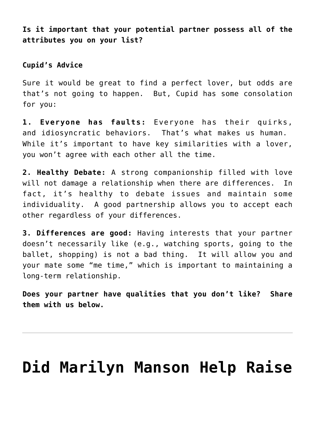**Is it important that your potential partner possess all of the attributes you on your list?**

### **Cupid's Advice**

Sure it would be great to find a perfect lover, but odds are that's not going to happen. But, Cupid has some consolation for you:

**1. Everyone has faults:** Everyone has their quirks, and idiosyncratic behaviors. That's what makes us human. While it's important to have key similarities with a lover, you won't agree with each other all the time.

**2. Healthy Debate:** A strong companionship filled with love will not damage a relationship when there are differences. In fact, it's healthy to debate issues and maintain some individuality. A good partnership allows you to accept each other regardless of your differences.

**3. Differences are good:** Having interests that your partner doesn't necessarily like (e.g., watching sports, going to the ballet, shopping) is not a bad thing. It will allow you and your mate some "me time," which is important to maintaining a long-term relationship.

**Does your partner have qualities that you don't like? Share them with us below.**

### **[Did Marilyn Manson Help Raise](https://cupidspulse.com/5780/did-marilyn-manson-help-raise-evan-rachel-wood/)**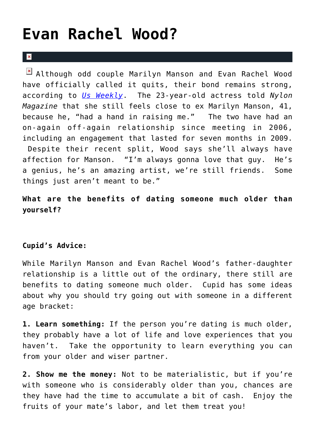### **[Evan Rachel Wood?](https://cupidspulse.com/5780/did-marilyn-manson-help-raise-evan-rachel-wood/)**

#### $\mathbf{R}$

**E** Although odd couple Marilyn Manson and Evan Rachel Wood have officially called it quits, their bond remains strong, according to *[Us Weekly](http://www.usmagazine.com/celebritynews/news/evan-rachel-wood-23-ex-marilyn-manson-had-a-hand-in-raising-me-20102510)*. The 23-year-old actress told *Nylon Magazine* that she still feels close to ex Marilyn Manson, 41, because he, "had a hand in raising me." The two have had an on-again off-again relationship since meeting in 2006, including an engagement that lasted for seven months in 2009. Despite their recent split, Wood says she'll always have affection for Manson. "I'm always gonna love that guy. He's a genius, he's an amazing artist, we're still friends. Some things just aren't meant to be."

**What are the benefits of dating someone much older than yourself?**

### **Cupid's Advice:**

While Marilyn Manson and Evan Rachel Wood's father-daughter relationship is a little out of the ordinary, there still are benefits to dating someone much older. Cupid has some ideas about why you should try going out with someone in a different age bracket:

**1. Learn something:** If the person you're dating is much older, they probably have a lot of life and love experiences that you haven't. Take the opportunity to learn everything you can from your older and wiser partner.

**2. Show me the money:** Not to be materialistic, but if you're with someone who is considerably older than you, chances are they have had the time to accumulate a bit of cash. Enjoy the fruits of your mate's labor, and let them treat you!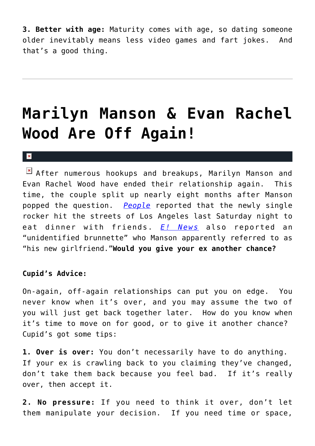**3. Better with age:** Maturity comes with age, so dating someone older inevitably means less video games and fart jokes. And that's a good thing.

# **[Marilyn Manson & Evan Rachel](https://cupidspulse.com/3671/marilyn-manson-evan-rachel-wood-are-off-again/) [Wood Are Off Again!](https://cupidspulse.com/3671/marilyn-manson-evan-rachel-wood-are-off-again/)**

#### x

After numerous hookups and breakups, Marilyn Manson and Evan Rachel Wood have ended their relationship again. This time, the couple split up nearly eight months after Manson popped the question. *[People](http://www.people.com/people/article/0,,20413552,00.html)* reported that the newly single rocker hit the streets of Los Angeles last Saturday night to eat dinner with friends. *[E! News](http://www.eonline.com/uberblog/detail.jsp?contentId=195788)* also reported an "unidentified brunnette" who Manson apparently referred to as "his new girlfriend."**Would you give your ex another chance?**

### **Cupid's Advice:**

On-again, off-again relationships can put you on edge. You never know when it's over, and you may assume the two of you will just get back together later. How do you know when it's time to move on for good, or to give it another chance? Cupid's got some tips:

**1. Over is over:** You don't necessarily have to do anything. If your ex is crawling back to you claiming they've changed, don't take them back because you feel bad. If it's really over, then accept it.

**2. No pressure:** If you need to think it over, don't let them manipulate your decision. If you need time or space,